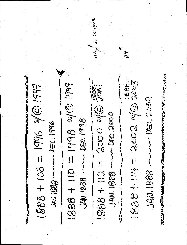a couple 1888-18881-14-2002 410 3007 1888 + 110 = 1998 W/G19 JOOO MIO 2006  $1888 + 108 = 1996$  2014 DEC. 000. ord.des 2011.020 m DEC. 1996 1888 + 112 JAN. 1888 -JAN. 1688 **SSSI-1088** JAN. 1888 -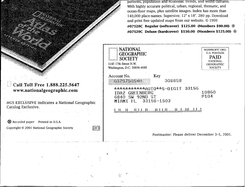patterns, population and economic trends, and world cultures. With highly accurate political, urban, regional, thematic, and ocean-floor maps, plus satellite images. Index has more than 140,000 place-names. Supersize: 12" x 18". 280 pp. Download and print free updated maps from our website. © 1999 #07528C **Regular (softcover)** \$125.00 **(Members** \$90.00) \*

#07529C **Deluxe (hardcover)** \$150.00 **(Members** \$125.00) \*



NGS EXCLUSIVE indicates a National Geographic Catalog Exclusive.

I:"

\* Recycled paper Printed in U.S.A.

Copyright  $\odot$  2001 National Geographic Society  $\Box$ 

de la característica